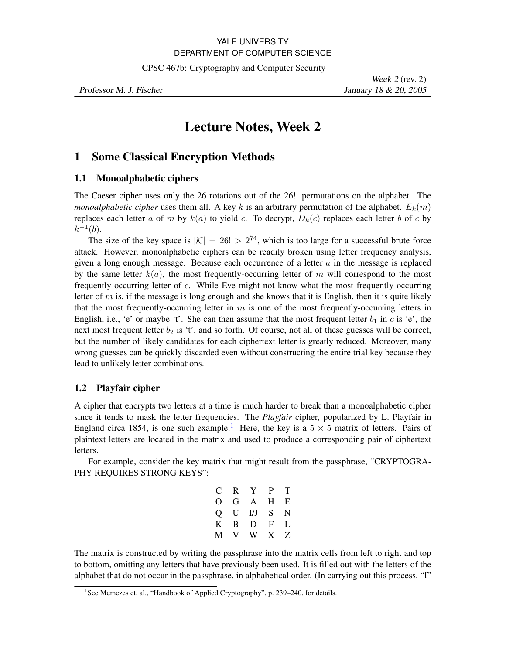## YALE UNIVERSITY DEPARTMENT OF COMPUTER SCIENCE

CPSC 467b: Cryptography and Computer Security

Professor M. J. Fischer January 18 & 20, 2005

Week 2 (rev. 2)

# **Lecture Notes, Week 2**

## **1 Some Classical Encryption Methods**

## **1.1 Monoalphabetic ciphers**

The Caeser cipher uses only the 26 rotations out of the 26! permutations on the alphabet. The *monoalphabetic cipher* uses them all. A key k is an arbitrary permutation of the alphabet.  $E_k(m)$ replaces each letter *a* of *m* by  $k(a)$  to yield *c*. To decrypt,  $D_k(c)$  replaces each letter *b* of *c* by  $k^{-1}(b)$ .

The size of the key space is  $|K| = 26! > 2^{74}$ , which is too large for a successful brute force attack. However, monoalphabetic ciphers can be readily broken using letter frequency analysis, given a long enough message. Because each occurrence of a letter *a* in the message is replaced by the same letter  $k(a)$ , the most frequently-occurring letter of  $m$  will correspond to the most frequently-occurring letter of *c*. While Eve might not know what the most frequently-occurring letter of  $m$  is, if the message is long enough and she knows that it is English, then it is quite likely that the most frequently-occurring letter in *m* is one of the most frequently-occurring letters in English, i.e., 'e' or maybe 't'. She can then assume that the most frequent letter  $b_1$  in  $c$  is 'e', the next most frequent letter  $b_2$  is 't', and so forth. Of course, not all of these guesses will be correct, but the number of likely candidates for each ciphertext letter is greatly reduced. Moreover, many wrong guesses can be quickly discarded even without constructing the entire trial key because they lead to unlikely letter combinations.

## **1.2 Playfair cipher**

A cipher that encrypts two letters at a time is much harder to break than a monoalphabetic cipher since it tends to mask the letter frequencies. The *Playfair* cipher, popularized by L. Playfair in England circa [1](#page-0-0)854, is one such example.<sup>1</sup> Here, the key is a  $5 \times 5$  matrix of letters. Pairs of plaintext letters are located in the matrix and used to produce a corresponding pair of ciphertext letters.

For example, consider the key matrix that might result from the passphrase, "CRYPTOGRA-PHY REQUIRES STRONG KEYS":

| $\mathbf{C}$ |    | R Y       | P T   |   |
|--------------|----|-----------|-------|---|
| O            |    | G A H E   |       |   |
|              |    | Q U I/J S |       | N |
| K            |    | B D       | F     | L |
| M            | V. |           | W X Z |   |

The matrix is constructed by writing the passphrase into the matrix cells from left to right and top to bottom, omitting any letters that have previously been used. It is filled out with the letters of the alphabet that do not occur in the passphrase, in alphabetical order. (In carrying out this process, "I"

<span id="page-0-0"></span><sup>&</sup>lt;sup>1</sup> See Memezes et. al., "Handbook of Applied Cryptography", p. 239–240, for details.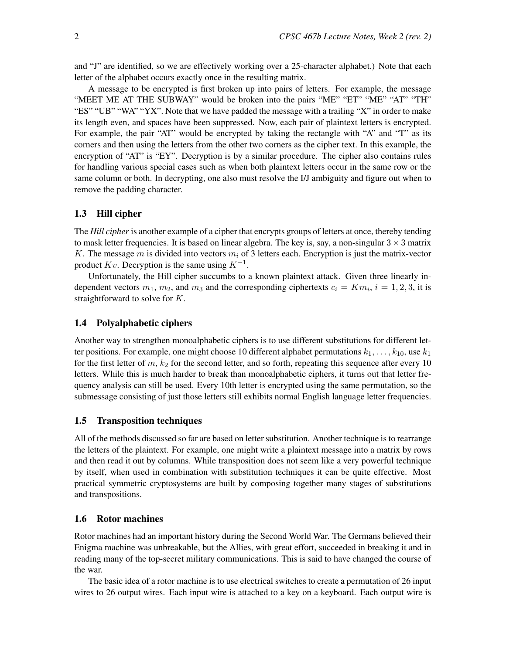and "J" are identified, so we are effectively working over a 25-character alphabet.) Note that each letter of the alphabet occurs exactly once in the resulting matrix.

A message to be encrypted is first broken up into pairs of letters. For example, the message "MEET ME AT THE SUBWAY" would be broken into the pairs "ME" "ET" "ME" "AT" "TH" "ES" "UB" "WA" "YX". Note that we have padded the message with a trailing "X" in order to make its length even, and spaces have been suppressed. Now, each pair of plaintext letters is encrypted. For example, the pair "AT" would be encrypted by taking the rectangle with "A" and "T" as its corners and then using the letters from the other two corners as the cipher text. In this example, the encryption of "AT" is "EY". Decryption is by a similar procedure. The cipher also contains rules for handling various special cases such as when both plaintext letters occur in the same row or the same column or both. In decrypting, one also must resolve the I/J ambiguity and figure out when to remove the padding character.

## **1.3 Hill cipher**

The *Hill cipher* is another example of a cipher that encrypts groups of letters at once, thereby tending to mask letter frequencies. It is based on linear algebra. The key is, say, a non-singular  $3 \times 3$  matrix *K*. The message *m* is divided into vectors *m<sup>i</sup>* of 3 letters each. Encryption is just the matrix-vector product *Kv*. Decryption is the same using *K−*<sup>1</sup> .

Unfortunately, the Hill cipher succumbs to a known plaintext attack. Given three linearly independent vectors  $m_1$ ,  $m_2$ , and  $m_3$  and the corresponding ciphertexts  $c_i = Km_i$ ,  $i = 1, 2, 3$ , it is straightforward to solve for *K*.

#### **1.4 Polyalphabetic ciphers**

Another way to strengthen monoalphabetic ciphers is to use different substitutions for different letter positions. For example, one might choose 10 different alphabet permutations  $k_1, \ldots, k_{10}$ , use  $k_1$ for the first letter of  $m$ ,  $k_2$  for the second letter, and so forth, repeating this sequence after every 10 letters. While this is much harder to break than monoalphabetic ciphers, it turns out that letter frequency analysis can still be used. Every 10th letter is encrypted using the same permutation, so the submessage consisting of just those letters still exhibits normal English language letter frequencies.

#### **1.5 Transposition techniques**

All of the methods discussed so far are based on letter substitution. Another technique is to rearrange the letters of the plaintext. For example, one might write a plaintext message into a matrix by rows and then read it out by columns. While transposition does not seem like a very powerful technique by itself, when used in combination with substitution techniques it can be quite effective. Most practical symmetric cryptosystems are built by composing together many stages of substitutions and transpositions.

#### **1.6 Rotor machines**

Rotor machines had an important history during the Second World War. The Germans believed their Enigma machine was unbreakable, but the Allies, with great effort, succeeded in breaking it and in reading many of the top-secret military communications. This is said to have changed the course of the war.

The basic idea of a rotor machine is to use electrical switches to create a permutation of 26 input wires to 26 output wires. Each input wire is attached to a key on a keyboard. Each output wire is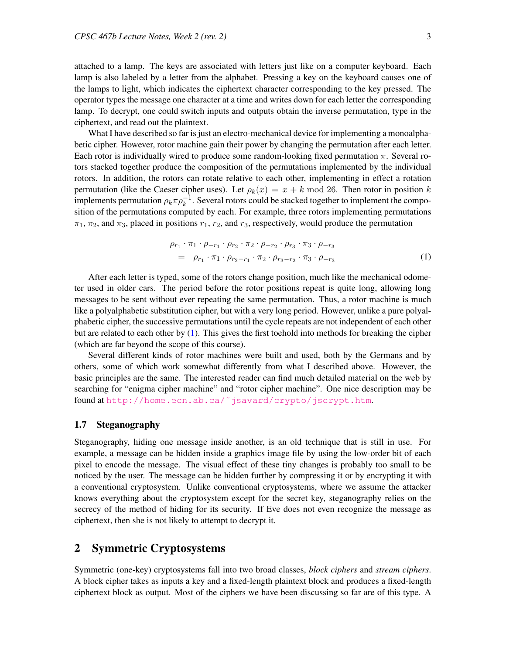attached to a lamp. The keys are associated with letters just like on a computer keyboard. Each lamp is also labeled by a letter from the alphabet. Pressing a key on the keyboard causes one of the lamps to light, which indicates the ciphertext character corresponding to the key pressed. The operator types the message one character at a time and writes down for each letter the corresponding lamp. To decrypt, one could switch inputs and outputs obtain the inverse permutation, type in the ciphertext, and read out the plaintext.

What I have described so far is just an electro-mechanical device for implementing a monoalphabetic cipher. However, rotor machine gain their power by changing the permutation after each letter. Each rotor is individually wired to produce some random-looking fixed permutation *π*. Several rotors stacked together produce the composition of the permutations implemented by the individual rotors. In addition, the rotors can rotate relative to each other, implementing in effect a rotation permutation (like the Caeser cipher uses). Let  $\rho_k(x) = x + k \mod 26$ . Then rotor in position *k* implements permutation  $\rho_k \pi \rho_k^{-1}$ . Several rotors could be stacked together to implement the composition of the permutations computed by each. For example, three rotors implementing permutations  $\pi_1$ ,  $\pi_2$ , and  $\pi_3$ , placed in positions  $r_1$ ,  $r_2$ , and  $r_3$ , respectively, would produce the permutation

<span id="page-2-0"></span>
$$
\rho_{r_1} \cdot \pi_1 \cdot \rho_{-r_1} \cdot \rho_{r_2} \cdot \pi_2 \cdot \rho_{-r_2} \cdot \rho_{r_3} \cdot \pi_3 \cdot \rho_{-r_3}
$$
\n
$$
= \rho_{r_1} \cdot \pi_1 \cdot \rho_{r_2 - r_1} \cdot \pi_2 \cdot \rho_{r_3 - r_2} \cdot \pi_3 \cdot \rho_{-r_3} \tag{1}
$$

After each letter is typed, some of the rotors change position, much like the mechanical odometer used in older cars. The period before the rotor positions repeat is quite long, allowing long messages to be sent without ever repeating the same permutation. Thus, a rotor machine is much like a polyalphabetic substitution cipher, but with a very long period. However, unlike a pure polyalphabetic cipher, the successive permutations until the cycle repeats are not independent of each other but are related to each other by [\(1\)](#page-2-0). This gives the first toehold into methods for breaking the cipher (which are far beyond the scope of this course).

Several different kinds of rotor machines were built and used, both by the Germans and by others, some of which work somewhat differently from what I described above. However, the basic principles are the same. The interested reader can find much detailed material on the web by searching for "enigma cipher machine" and "rotor cipher machine". One nice description may be found at [http://home.ecn.ab.ca/˜jsavard/crypto/jscrypt.htm](http://home.ecn.ab.ca/~jsavard/crypto/jscrypt.htm).

#### **1.7 Steganography**

Steganography, hiding one message inside another, is an old technique that is still in use. For example, a message can be hidden inside a graphics image file by using the low-order bit of each pixel to encode the message. The visual effect of these tiny changes is probably too small to be noticed by the user. The message can be hidden further by compressing it or by encrypting it with a conventional cryptosystem. Unlike conventional cryptosystems, where we assume the attacker knows everything about the cryptosystem except for the secret key, steganography relies on the secrecy of the method of hiding for its security. If Eve does not even recognize the message as ciphertext, then she is not likely to attempt to decrypt it.

## **2 Symmetric Cryptosystems**

Symmetric (one-key) cryptosystems fall into two broad classes, *block ciphers* and *stream ciphers*. A block cipher takes as inputs a key and a fixed-length plaintext block and produces a fixed-length ciphertext block as output. Most of the ciphers we have been discussing so far are of this type. A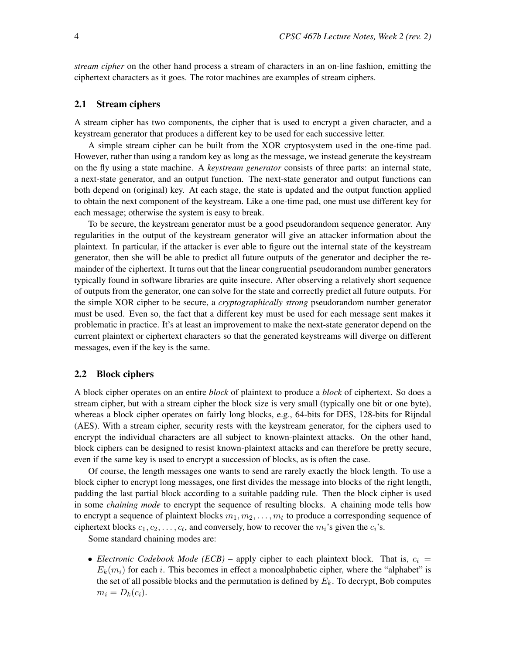*stream cipher* on the other hand process a stream of characters in an on-line fashion, emitting the ciphertext characters as it goes. The rotor machines are examples of stream ciphers.

## **2.1 Stream ciphers**

A stream cipher has two components, the cipher that is used to encrypt a given character, and a keystream generator that produces a different key to be used for each successive letter.

A simple stream cipher can be built from the XOR cryptosystem used in the one-time pad. However, rather than using a random key as long as the message, we instead generate the keystream on the fly using a state machine. A *keystream generator* consists of three parts: an internal state, a next-state generator, and an output function. The next-state generator and output functions can both depend on (original) key. At each stage, the state is updated and the output function applied to obtain the next component of the keystream. Like a one-time pad, one must use different key for each message; otherwise the system is easy to break.

To be secure, the keystream generator must be a good pseudorandom sequence generator. Any regularities in the output of the keystream generator will give an attacker information about the plaintext. In particular, if the attacker is ever able to figure out the internal state of the keystream generator, then she will be able to predict all future outputs of the generator and decipher the remainder of the ciphertext. It turns out that the linear congruential pseudorandom number generators typically found in software libraries are quite insecure. After observing a relatively short sequence of outputs from the generator, one can solve for the state and correctly predict all future outputs. For the simple XOR cipher to be secure, a *cryptographically strong* pseudorandom number generator must be used. Even so, the fact that a different key must be used for each message sent makes it problematic in practice. It's at least an improvement to make the next-state generator depend on the current plaintext or ciphertext characters so that the generated keystreams will diverge on different messages, even if the key is the same.

#### **2.2 Block ciphers**

A block cipher operates on an entire *block* of plaintext to produce a *block* of ciphertext. So does a stream cipher, but with a stream cipher the block size is very small (typically one bit or one byte), whereas a block cipher operates on fairly long blocks, e.g., 64-bits for DES, 128-bits for Rijndal (AES). With a stream cipher, security rests with the keystream generator, for the ciphers used to encrypt the individual characters are all subject to known-plaintext attacks. On the other hand, block ciphers can be designed to resist known-plaintext attacks and can therefore be pretty secure, even if the same key is used to encrypt a succession of blocks, as is often the case.

Of course, the length messages one wants to send are rarely exactly the block length. To use a block cipher to encrypt long messages, one first divides the message into blocks of the right length, padding the last partial block according to a suitable padding rule. Then the block cipher is used in some *chaining mode* to encrypt the sequence of resulting blocks. A chaining mode tells how to encrypt a sequence of plaintext blocks  $m_1, m_2, \ldots, m_t$  to produce a corresponding sequence of ciphertext blocks  $c_1, c_2, \ldots, c_t$ , and conversely, how to recover the  $m_i$ 's given the  $c_i$ 's.

Some standard chaining modes are:

• *Electronic Codebook Mode (ECB)* – apply cipher to each plaintext block. That is,  $c_i$  =  $E_k(m_i)$  for each *i*. This becomes in effect a monoalphabetic cipher, where the "alphabet" is the set of all possible blocks and the permutation is defined by *Ek*. To decrypt, Bob computes  $m_i = D_k(c_i)$ .